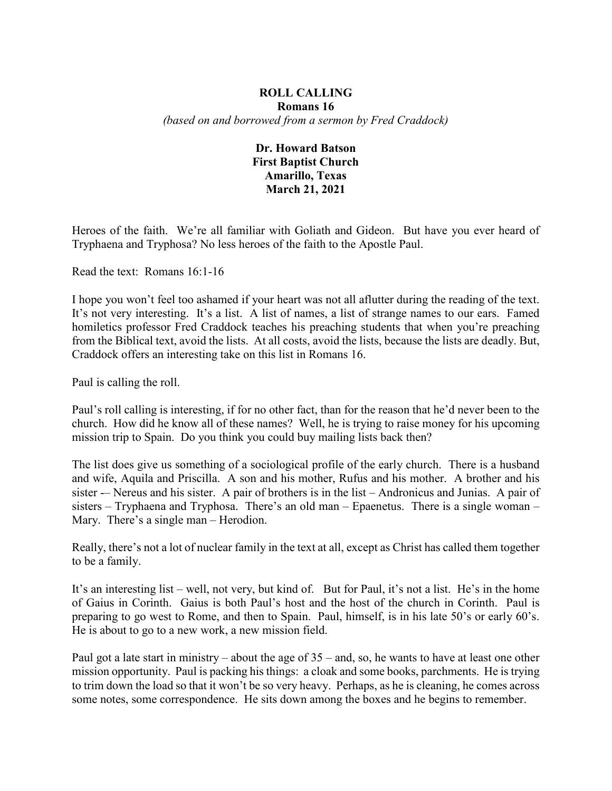## **ROLL CALLING Romans 16** *(based on and borrowed from a sermon by Fred Craddock)*

## **Dr. Howard Batson First Baptist Church Amarillo, Texas March 21, 2021**

Heroes of the faith. We're all familiar with Goliath and Gideon. But have you ever heard of Tryphaena and Tryphosa? No less heroes of the faith to the Apostle Paul.

Read the text: Romans 16:1-16

I hope you won't feel too ashamed if your heart was not all aflutter during the reading of the text. It's not very interesting. It's a list. A list of names, a list of strange names to our ears. Famed homiletics professor Fred Craddock teaches his preaching students that when you're preaching from the Biblical text, avoid the lists. At all costs, avoid the lists, because the lists are deadly. But, Craddock offers an interesting take on this list in Romans 16.

Paul is calling the roll.

Paul's roll calling is interesting, if for no other fact, than for the reason that he'd never been to the church. How did he know all of these names? Well, he is trying to raise money for his upcoming mission trip to Spain. Do you think you could buy mailing lists back then?

The list does give us something of a sociological profile of the early church. There is a husband and wife, Aquila and Priscilla. A son and his mother, Rufus and his mother. A brother and his sister -– Nereus and his sister. A pair of brothers is in the list – Andronicus and Junias. A pair of sisters – Tryphaena and Tryphosa. There's an old man – Epaenetus. There is a single woman – Mary. There's a single man – Herodion.

Really, there's not a lot of nuclear family in the text at all, except as Christ has called them together to be a family.

It's an interesting list – well, not very, but kind of. But for Paul, it's not a list. He's in the home of Gaius in Corinth. Gaius is both Paul's host and the host of the church in Corinth. Paul is preparing to go west to Rome, and then to Spain. Paul, himself, is in his late 50's or early 60's. He is about to go to a new work, a new mission field.

Paul got a late start in ministry – about the age of 35 – and, so, he wants to have at least one other mission opportunity. Paul is packing his things: a cloak and some books, parchments. He is trying to trim down the load so that it won't be so very heavy. Perhaps, as he is cleaning, he comes across some notes, some correspondence. He sits down among the boxes and he begins to remember.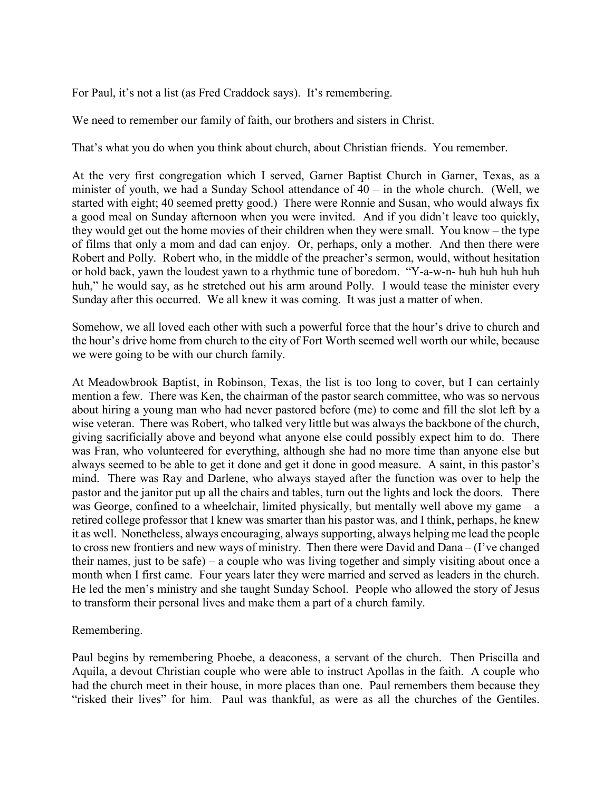For Paul, it's not a list (as Fred Craddock says). It's remembering.

We need to remember our family of faith, our brothers and sisters in Christ.

That's what you do when you think about church, about Christian friends. You remember.

At the very first congregation which I served, Garner Baptist Church in Garner, Texas, as a minister of youth, we had a Sunday School attendance of  $40 - in$  the whole church. (Well, we started with eight; 40 seemed pretty good.) There were Ronnie and Susan, who would always fix a good meal on Sunday afternoon when you were invited. And if you didn't leave too quickly, they would get out the home movies of their children when they were small. You know – the type of films that only a mom and dad can enjoy. Or, perhaps, only a mother. And then there were Robert and Polly. Robert who, in the middle of the preacher's sermon, would, without hesitation or hold back, yawn the loudest yawn to a rhythmic tune of boredom. "Y-a-w-n- huh huh huh huh huh," he would say, as he stretched out his arm around Polly. I would tease the minister every Sunday after this occurred. We all knew it was coming. It was just a matter of when.

Somehow, we all loved each other with such a powerful force that the hour's drive to church and the hour's drive home from church to the city of Fort Worth seemed well worth our while, because we were going to be with our church family.

At Meadowbrook Baptist, in Robinson, Texas, the list is too long to cover, but I can certainly mention a few. There was Ken, the chairman of the pastor search committee, who was so nervous about hiring a young man who had never pastored before (me) to come and fill the slot left by a wise veteran. There was Robert, who talked very little but was always the backbone of the church, giving sacrificially above and beyond what anyone else could possibly expect him to do. There was Fran, who volunteered for everything, although she had no more time than anyone else but always seemed to be able to get it done and get it done in good measure. A saint, in this pastor's mind. There was Ray and Darlene, who always stayed after the function was over to help the pastor and the janitor put up all the chairs and tables, turn out the lights and lock the doors. There was George, confined to a wheelchair, limited physically, but mentally well above my game – a retired college professor that I knew was smarter than his pastor was, and I think, perhaps, he knew it as well. Nonetheless, always encouraging, always supporting, always helping me lead the people to cross new frontiers and new ways of ministry. Then there were David and Dana – (I've changed their names, just to be safe) – a couple who was living together and simply visiting about once a month when I first came. Four years later they were married and served as leaders in the church. He led the men's ministry and she taught Sunday School. People who allowed the story of Jesus to transform their personal lives and make them a part of a church family.

## Remembering.

Paul begins by remembering Phoebe, a deaconess, a servant of the church. Then Priscilla and Aquila, a devout Christian couple who were able to instruct Apollas in the faith. A couple who had the church meet in their house, in more places than one. Paul remembers them because they "risked their lives" for him. Paul was thankful, as were as all the churches of the Gentiles.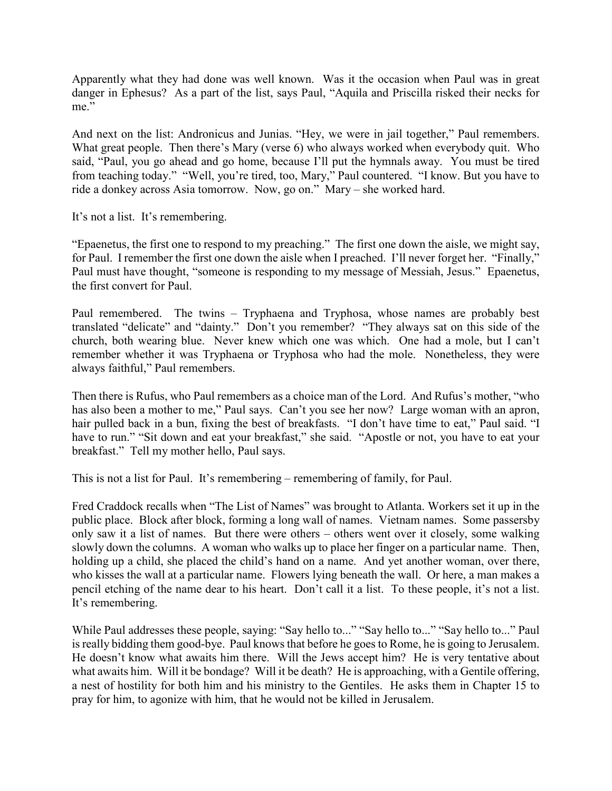Apparently what they had done was well known. Was it the occasion when Paul was in great danger in Ephesus? As a part of the list, says Paul, "Aquila and Priscilla risked their necks for me."

And next on the list: Andronicus and Junias. "Hey, we were in jail together," Paul remembers. What great people. Then there's Mary (verse 6) who always worked when everybody quit. Who said, "Paul, you go ahead and go home, because I'll put the hymnals away. You must be tired from teaching today." "Well, you're tired, too, Mary," Paul countered. "I know. But you have to ride a donkey across Asia tomorrow. Now, go on." Mary – she worked hard.

It's not a list. It's remembering.

"Epaenetus, the first one to respond to my preaching." The first one down the aisle, we might say, for Paul. I remember the first one down the aisle when I preached. I'll never forget her. "Finally," Paul must have thought, "someone is responding to my message of Messiah, Jesus." Epaenetus, the first convert for Paul.

Paul remembered. The twins – Tryphaena and Tryphosa, whose names are probably best translated "delicate" and "dainty." Don't you remember? "They always sat on this side of the church, both wearing blue. Never knew which one was which. One had a mole, but I can't remember whether it was Tryphaena or Tryphosa who had the mole. Nonetheless, they were always faithful," Paul remembers.

Then there is Rufus, who Paul remembers as a choice man of the Lord. And Rufus's mother, "who has also been a mother to me," Paul says. Can't you see her now? Large woman with an apron, hair pulled back in a bun, fixing the best of breakfasts. "I don't have time to eat," Paul said. "I have to run." "Sit down and eat your breakfast," she said. "Apostle or not, you have to eat your breakfast." Tell my mother hello, Paul says.

This is not a list for Paul. It's remembering – remembering of family, for Paul.

Fred Craddock recalls when "The List of Names" was brought to Atlanta. Workers set it up in the public place. Block after block, forming a long wall of names. Vietnam names. Some passersby only saw it a list of names. But there were others – others went over it closely, some walking slowly down the columns. A woman who walks up to place her finger on a particular name. Then, holding up a child, she placed the child's hand on a name. And yet another woman, over there, who kisses the wall at a particular name. Flowers lying beneath the wall. Or here, a man makes a pencil etching of the name dear to his heart. Don't call it a list. To these people, it's not a list. It's remembering.

While Paul addresses these people, saying: "Say hello to..." "Say hello to..." "Say hello to..." Paul is really bidding them good-bye. Paul knows that before he goes to Rome, he is going to Jerusalem. He doesn't know what awaits him there. Will the Jews accept him? He is very tentative about what awaits him. Will it be bondage? Will it be death? He is approaching, with a Gentile offering, a nest of hostility for both him and his ministry to the Gentiles. He asks them in Chapter 15 to pray for him, to agonize with him, that he would not be killed in Jerusalem.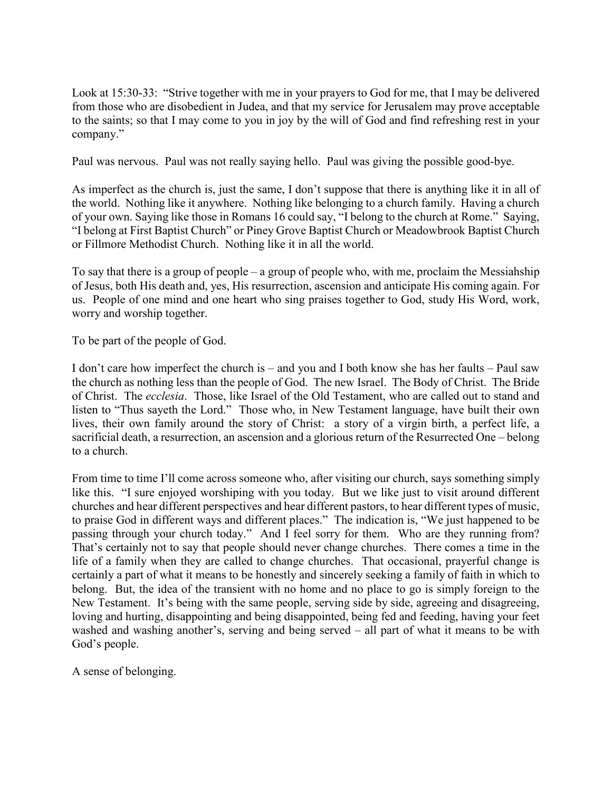Look at 15:30-33: "Strive together with me in your prayers to God for me, that I may be delivered from those who are disobedient in Judea, and that my service for Jerusalem may prove acceptable to the saints; so that I may come to you in joy by the will of God and find refreshing rest in your company."

Paul was nervous. Paul was not really saying hello. Paul was giving the possible good-bye.

As imperfect as the church is, just the same, I don't suppose that there is anything like it in all of the world. Nothing like it anywhere. Nothing like belonging to a church family. Having a church of your own. Saying like those in Romans 16 could say, "I belong to the church at Rome." Saying, "I belong at First Baptist Church" or Piney Grove Baptist Church or Meadowbrook Baptist Church or Fillmore Methodist Church. Nothing like it in all the world.

To say that there is a group of people – a group of people who, with me, proclaim the Messiahship of Jesus, both His death and, yes, His resurrection, ascension and anticipate His coming again. For us. People of one mind and one heart who sing praises together to God, study His Word, work, worry and worship together.

To be part of the people of God.

I don't care how imperfect the church is – and you and I both know she has her faults – Paul saw the church as nothing less than the people of God. The new Israel. The Body of Christ. The Bride of Christ. The *ecclesia*. Those, like Israel of the Old Testament, who are called out to stand and listen to "Thus sayeth the Lord." Those who, in New Testament language, have built their own lives, their own family around the story of Christ: a story of a virgin birth, a perfect life, a sacrificial death, a resurrection, an ascension and a glorious return of the Resurrected One – belong to a church.

From time to time I'll come across someone who, after visiting our church, says something simply like this. "I sure enjoyed worshiping with you today. But we like just to visit around different churches and hear different perspectives and hear different pastors, to hear different types of music, to praise God in different ways and different places." The indication is, "We just happened to be passing through your church today." And I feel sorry for them. Who are they running from? That's certainly not to say that people should never change churches. There comes a time in the life of a family when they are called to change churches. That occasional, prayerful change is certainly a part of what it means to be honestly and sincerely seeking a family of faith in which to belong. But, the idea of the transient with no home and no place to go is simply foreign to the New Testament. It's being with the same people, serving side by side, agreeing and disagreeing, loving and hurting, disappointing and being disappointed, being fed and feeding, having your feet washed and washing another's, serving and being served – all part of what it means to be with God's people.

A sense of belonging.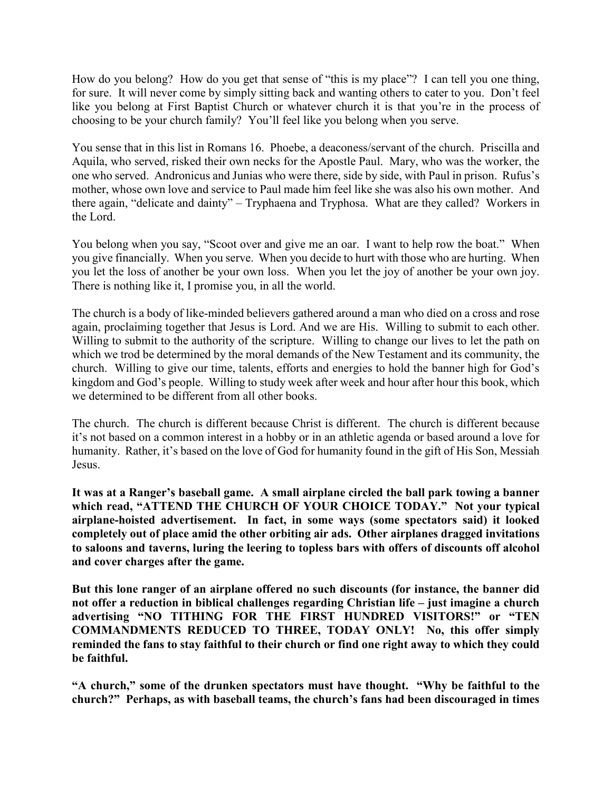How do you belong? How do you get that sense of "this is my place"? I can tell you one thing, for sure. It will never come by simply sitting back and wanting others to cater to you. Don't feel like you belong at First Baptist Church or whatever church it is that you're in the process of choosing to be your church family? You'll feel like you belong when you serve.

You sense that in this list in Romans 16. Phoebe, a deaconess/servant of the church. Priscilla and Aquila, who served, risked their own necks for the Apostle Paul. Mary, who was the worker, the one who served. Andronicus and Junias who were there, side by side, with Paul in prison. Rufus's mother, whose own love and service to Paul made him feel like she was also his own mother. And there again, "delicate and dainty" – Tryphaena and Tryphosa. What are they called? Workers in the Lord.

You belong when you say, "Scoot over and give me an oar. I want to help row the boat." When you give financially. When you serve. When you decide to hurt with those who are hurting. When you let the loss of another be your own loss. When you let the joy of another be your own joy. There is nothing like it, I promise you, in all the world.

The church is a body of like-minded believers gathered around a man who died on a cross and rose again, proclaiming together that Jesus is Lord. And we are His. Willing to submit to each other. Willing to submit to the authority of the scripture. Willing to change our lives to let the path on which we trod be determined by the moral demands of the New Testament and its community, the church. Willing to give our time, talents, efforts and energies to hold the banner high for God's kingdom and God's people. Willing to study week after week and hour after hour this book, which we determined to be different from all other books.

The church. The church is different because Christ is different. The church is different because it's not based on a common interest in a hobby or in an athletic agenda or based around a love for humanity. Rather, it's based on the love of God for humanity found in the gift of His Son, Messiah Jesus.

**It was at a Ranger's baseball game. A small airplane circled the ball park towing a banner which read, "ATTEND THE CHURCH OF YOUR CHOICE TODAY." Not your typical airplane-hoisted advertisement. In fact, in some ways (some spectators said) it looked completely out of place amid the other orbiting air ads. Other airplanes dragged invitations to saloons and taverns, luring the leering to topless bars with offers of discounts off alcohol and cover charges after the game.** 

**But this lone ranger of an airplane offered no such discounts (for instance, the banner did not offer a reduction in biblical challenges regarding Christian life – just imagine a church advertising "NO TITHING FOR THE FIRST HUNDRED VISITORS!" or "TEN COMMANDMENTS REDUCED TO THREE, TODAY ONLY! No, this offer simply reminded the fans to stay faithful to their church or find one right away to which they could be faithful.**

**"A church," some of the drunken spectators must have thought. "Why be faithful to the church?" Perhaps, as with baseball teams, the church's fans had been discouraged in times**